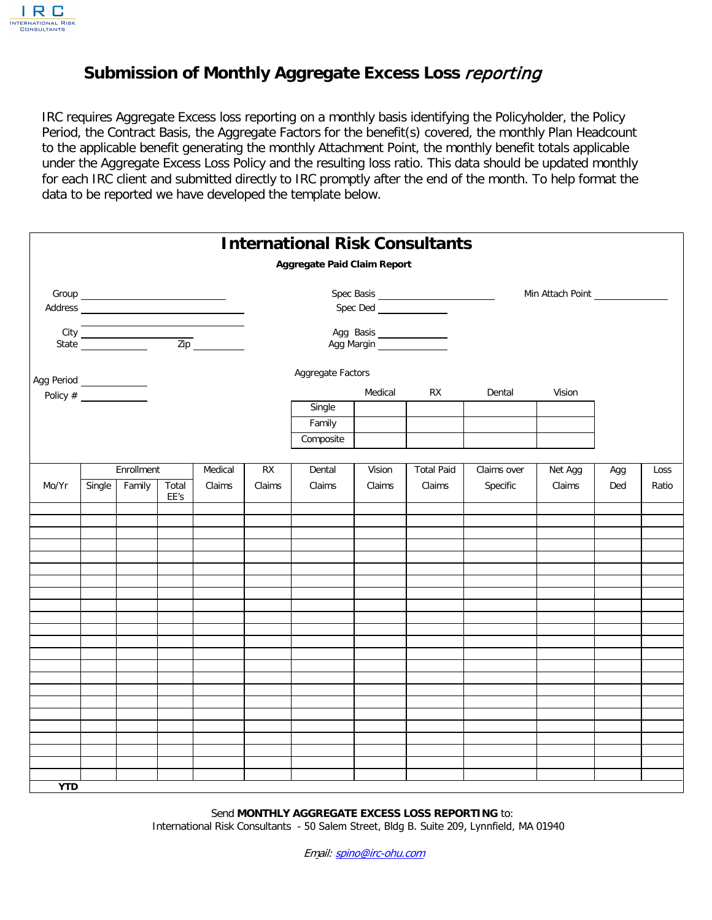

## **Submission of Monthly Aggregate Excess Loss** reporting

IRC requires Aggregate Excess loss reporting on a monthly basis identifying the Policyholder, the Policy Period, the Contract Basis, the Aggregate Factors for the benefit(s) covered, the monthly Plan Headcount to the applicable benefit generating the monthly Attachment Point, the monthly benefit totals applicable under the Aggregate Excess Loss Policy and the resulting loss ratio. This data should be updated monthly for each IRC client and submitted directly to IRC promptly after the end of the month. To help format the data to be reported we have developed the template below.

|                                                                                                                                                                                                                                      |        |            |               |                                                                                                                                                                                                                                         |        | <b>International Risk Consultants</b> |                         |                   |                  |         |     |       |
|--------------------------------------------------------------------------------------------------------------------------------------------------------------------------------------------------------------------------------------|--------|------------|---------------|-----------------------------------------------------------------------------------------------------------------------------------------------------------------------------------------------------------------------------------------|--------|---------------------------------------|-------------------------|-------------------|------------------|---------|-----|-------|
|                                                                                                                                                                                                                                      |        |            |               |                                                                                                                                                                                                                                         |        | Aggregate Paid Claim Report           |                         |                   |                  |         |     |       |
| Group <b>contract of the contract of the contract of the contract of the contract of the contract of the contract of the contract of the contract of the contract of the contract of the contract of the contract of the contrac</b> |        |            |               |                                                                                                                                                                                                                                         |        |                                       |                         |                   | Min Attach Point |         |     |       |
|                                                                                                                                                                                                                                      |        |            |               |                                                                                                                                                                                                                                         |        |                                       |                         |                   |                  |         |     |       |
|                                                                                                                                                                                                                                      |        |            |               | City<br>State <u>and State and State and State and State and State and State and State and State and State and State and State and State and State and State and State and State and State and State and State and State and State </u> |        |                                       | Agg Basis<br>Agg Margin |                   |                  |         |     |       |
| Agg Period _____________                                                                                                                                                                                                             |        |            |               |                                                                                                                                                                                                                                         |        | Aggregate Factors                     |                         |                   |                  |         |     |       |
|                                                                                                                                                                                                                                      |        |            |               |                                                                                                                                                                                                                                         |        |                                       | Medical                 | RX                | Dental           | Vision  |     |       |
|                                                                                                                                                                                                                                      |        |            |               |                                                                                                                                                                                                                                         |        | Single                                |                         |                   |                  |         |     |       |
|                                                                                                                                                                                                                                      |        |            |               |                                                                                                                                                                                                                                         |        | Family                                |                         |                   |                  |         |     |       |
|                                                                                                                                                                                                                                      |        |            |               |                                                                                                                                                                                                                                         |        | Composite                             |                         |                   |                  |         |     |       |
|                                                                                                                                                                                                                                      |        | Enrollment |               | Medical                                                                                                                                                                                                                                 | RX     | Dental                                | Vision                  | <b>Total Paid</b> | Claims over      | Net Agg | Agg | Loss  |
| Mo/Yr                                                                                                                                                                                                                                | Single | Family     | Total<br>EE's | Claims                                                                                                                                                                                                                                  | Claims | Claims                                | Claims                  | Claims            | Specific         | Claims  | Ded | Ratio |
|                                                                                                                                                                                                                                      |        |            |               |                                                                                                                                                                                                                                         |        |                                       |                         |                   |                  |         |     |       |
|                                                                                                                                                                                                                                      |        |            |               |                                                                                                                                                                                                                                         |        |                                       |                         |                   |                  |         |     |       |
|                                                                                                                                                                                                                                      |        |            |               |                                                                                                                                                                                                                                         |        |                                       |                         |                   |                  |         |     |       |
|                                                                                                                                                                                                                                      |        |            |               |                                                                                                                                                                                                                                         |        |                                       |                         |                   |                  |         |     |       |
|                                                                                                                                                                                                                                      |        |            |               |                                                                                                                                                                                                                                         |        |                                       |                         |                   |                  |         |     |       |
|                                                                                                                                                                                                                                      |        |            |               |                                                                                                                                                                                                                                         |        |                                       |                         |                   |                  |         |     |       |
|                                                                                                                                                                                                                                      |        |            |               |                                                                                                                                                                                                                                         |        |                                       |                         |                   |                  |         |     |       |
|                                                                                                                                                                                                                                      |        |            |               |                                                                                                                                                                                                                                         |        |                                       |                         |                   |                  |         |     |       |
|                                                                                                                                                                                                                                      |        |            |               |                                                                                                                                                                                                                                         |        |                                       |                         |                   |                  |         |     |       |
|                                                                                                                                                                                                                                      |        |            |               |                                                                                                                                                                                                                                         |        |                                       |                         |                   |                  |         |     |       |
|                                                                                                                                                                                                                                      |        |            |               |                                                                                                                                                                                                                                         |        |                                       |                         |                   |                  |         |     |       |
|                                                                                                                                                                                                                                      |        |            |               |                                                                                                                                                                                                                                         |        |                                       |                         |                   |                  |         |     |       |
|                                                                                                                                                                                                                                      |        |            |               |                                                                                                                                                                                                                                         |        |                                       |                         |                   |                  |         |     |       |
|                                                                                                                                                                                                                                      |        |            |               |                                                                                                                                                                                                                                         |        |                                       |                         |                   |                  |         |     |       |
|                                                                                                                                                                                                                                      |        |            |               |                                                                                                                                                                                                                                         |        |                                       |                         |                   |                  |         |     |       |
|                                                                                                                                                                                                                                      |        |            |               |                                                                                                                                                                                                                                         |        |                                       |                         |                   |                  |         |     |       |
|                                                                                                                                                                                                                                      |        |            |               |                                                                                                                                                                                                                                         |        |                                       |                         |                   |                  |         |     |       |
| <b>YTD</b>                                                                                                                                                                                                                           |        |            |               |                                                                                                                                                                                                                                         |        |                                       |                         |                   |                  |         |     |       |

Send **MONTHLY AGGREGATE EXCESS LOSS REPORTING** to: International Risk Consultants - 50 Salem Street, Bldg B. Suite 209, Lynnfield, MA 01940

Email: [spino@](mailto:claims@irc-ohu.com)irc-ohu.com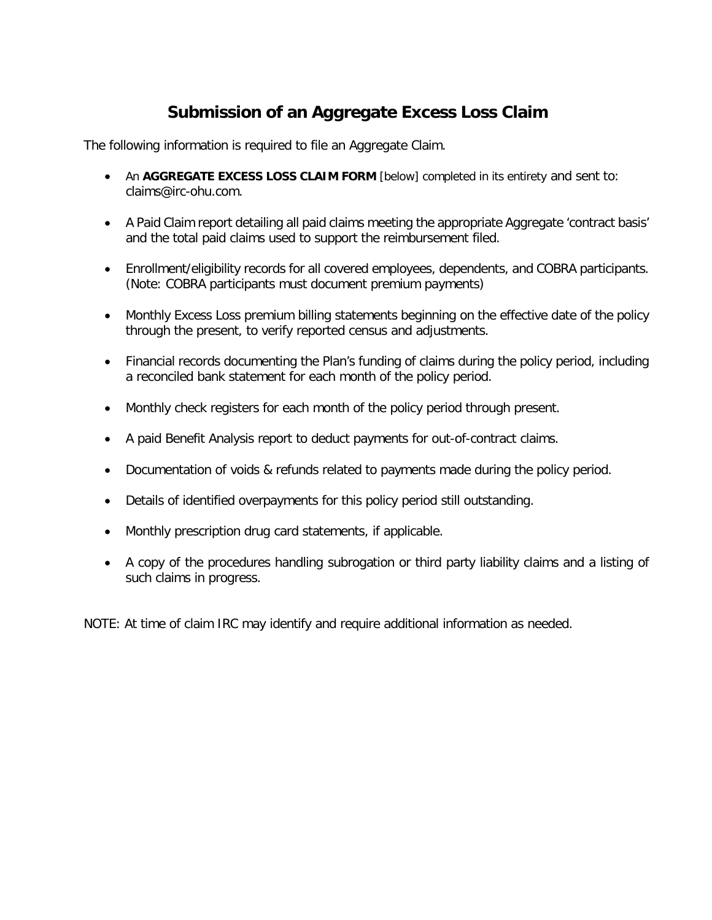## **Submission of an Aggregate Excess Loss Claim**

The following information is required to file an Aggregate Claim.

- An **AGGREGATE EXCESS LOSS CLAIM FORM** [below] completed in its entirety and sent to: claims@irc-ohu.com.
- A Paid Claim report detailing all paid claims meeting the appropriate Aggregate 'contract basis' and the total paid claims used to support the reimbursement filed.
- Enrollment/eligibility records for all covered employees, dependents, and COBRA participants. (Note: COBRA participants must document premium payments)
- Monthly Excess Loss premium billing statements beginning on the effective date of the policy through the present, to verify reported census and adjustments.
- Financial records documenting the Plan's funding of claims during the policy period, including a reconciled bank statement for each month of the policy period.
- Monthly check registers for each month of the policy period through present.
- A paid Benefit Analysis report to deduct payments for out-of-contract claims.
- Documentation of voids & refunds related to payments made during the policy period.
- Details of identified overpayments for this policy period still outstanding.
- Monthly prescription drug card statements, if applicable.
- A copy of the procedures handling subrogation or third party liability claims and a listing of such claims in progress.

NOTE: At time of claim IRC may identify and require additional information as needed.